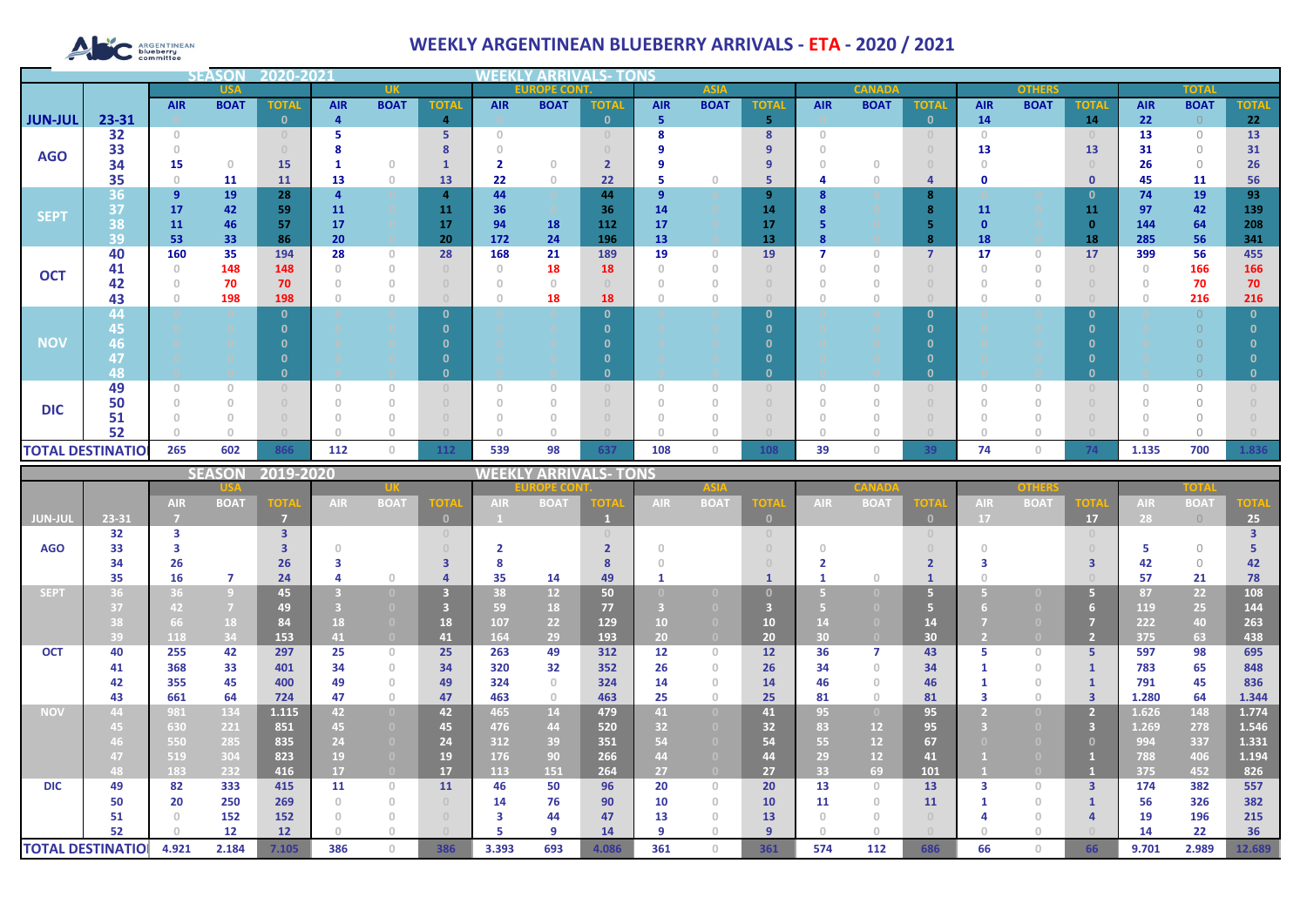# **ARGENTINEAN**

## **WEEKLY ARGENTINEAN BLUEBERRY ARRIVALS - ETA - 2020 / 2021**

|                |                          |                                       | <b>SEASOI</b>                    | 2020-2021    |            |                                       |                                  |                                       |             |              |                |             |               |            |             |                                  |             |              |              |            |             |              |
|----------------|--------------------------|---------------------------------------|----------------------------------|--------------|------------|---------------------------------------|----------------------------------|---------------------------------------|-------------|--------------|----------------|-------------|---------------|------------|-------------|----------------------------------|-------------|--------------|--------------|------------|-------------|--------------|
|                | <b>USA</b>               |                                       | <b>UK</b>                        |              |            | <b>EUROPE CONT.</b><br><b>ASIA</b>    |                                  |                                       |             |              |                |             | <b>CANADA</b> |            |             | <b>OTHERS</b>                    |             | <b>TOTAL</b> |              |            |             |              |
|                |                          | <b>AIR</b>                            | <b>BOAT</b>                      | <b>TOTAL</b> | <b>AIR</b> | <b>BOAT</b>                           | <b>TOTAL</b>                     | <b>AIR</b>                            | <b>BOAT</b> | <b>TOTAL</b> | <b>AIR</b>     | <b>BOAT</b> | <b>TOTAL</b>  | <b>AIR</b> | <b>BOAT</b> | <b>TOTAL</b>                     | <b>AIR</b>  | <b>BOAT</b>  | <b>TOTAL</b> | <b>AIR</b> | <b>BOAT</b> | <b>TOTAL</b> |
| <b>JUN-JUL</b> | 23-31                    |                                       |                                  | n.           | 4          |                                       | $\overline{4}$                   |                                       |             | $\Omega$     | 5              |             | 5             |            |             | $\mathbf{0}$                     | 14          |              | 14           | 22         | $\bigcirc$  | 22           |
|                | 32                       | $\begin{array}{c} 0 \\ 0 \end{array}$ |                                  |              |            |                                       | 5                                | $\cap$                                |             |              | 8              |             | 8             | $\Box$     |             | $\begin{array}{c} 0 \end{array}$ | $\Omega$    |              |              | 13         | $\bigcirc$  | 13           |
| <b>AGO</b>     | 33                       |                                       |                                  |              |            |                                       |                                  |                                       |             |              |                |             | 9             |            |             |                                  | 13          |              | 13           | 31         | $\Omega$    | 31           |
|                | 34                       | 15                                    | $\begin{array}{c} 0 \end{array}$ | 15           |            | $\Omega$                              |                                  | $\overline{\mathbf{2}}$               | $\cap$      |              |                |             | 9             |            |             |                                  |             |              |              | 26         | $\bigcirc$  | 26           |
|                | 35                       | $\circ$                               | 11                               | 11           | 13         | $\begin{array}{c} 0 \\ 0 \end{array}$ | 13                               | 22                                    | $\circ$     | 22           | 5              | $\Omega$    | 5             |            |             | $\overline{a}$                   | $\mathbf 0$ |              | $\mathbf 0$  | 45         | 11          | 56           |
| <b>SEPT</b>    | 36                       | $\overline{9}$                        | 19                               | 28           |            |                                       | 4                                | 44                                    |             | 44           | $\overline{9}$ |             | 9             |            |             | 8                                |             |              | 0            | 74         | 19          | 93           |
|                | 37                       | 17                                    | 42                               | 59           | 11         |                                       | 11                               | 36                                    |             | 36           | 14             |             | 14            |            |             | 8                                | 11          |              | 11           | 97         | 42          | 139          |
|                | 38<br>39                 | 11<br>53                              | 46<br>33                         | 57<br>86     | 17<br>20   |                                       | 17<br>20                         | 94<br>172                             | 18<br>24    | 112<br>196   | 17<br>13       |             | 17<br>13      |            |             | 8                                | 18          |              | 18           | 144<br>285 | 64<br>56    | 208<br>341   |
|                | 40                       | 160                                   | 35                               | 194          | 28         | $\circ$                               | 28                               | 168                                   | 21          | 189          | 19             | $\Omega$    | 19            |            | $\Omega$    | $\overline{7}$                   | 17          | $\mathbf{0}$ | 17           | 399        | 56          | 455          |
| <b>OCT</b>     | 41                       | $\Omega$                              | 148                              | 148          |            | $\Omega$                              | $\begin{array}{c} \n\end{array}$ | $\Omega$                              | 18          | 18           | $\theta$       |             |               |            |             |                                  |             | 0            |              |            | 166         | 166          |
|                | 42                       |                                       | 70                               | 70           |            | $\Omega$                              | $\Box$                           | $\Omega$                              | $\Omega$    |              |                |             |               |            |             | $\Omega$                         |             |              |              |            | 70          | 70           |
|                | 43                       |                                       | 198                              | 198          |            | $\theta$                              | $\Box$                           |                                       | 18          | 18           |                |             |               |            |             |                                  |             | 0            |              |            | 216         | 216          |
|                | 44                       |                                       |                                  |              |            |                                       | $\Omega$                         |                                       |             | n            |                |             | $\mathbf{0}$  |            |             | $\mathbf{0}$                     |             |              | n            |            | $\cap$      |              |
|                | 45                       |                                       |                                  |              |            |                                       |                                  |                                       |             |              |                |             | n             |            |             |                                  |             |              |              |            |             |              |
| <b>NOV</b>     | 46                       |                                       |                                  |              |            |                                       |                                  |                                       |             |              |                |             |               |            |             |                                  |             |              |              |            |             |              |
|                | 47                       |                                       |                                  |              |            |                                       |                                  |                                       |             |              |                |             | n             |            |             |                                  |             |              |              |            |             |              |
|                | 48                       |                                       |                                  |              |            |                                       |                                  |                                       |             |              |                |             | $\Omega$      |            |             | $\mathbf{0}$                     |             |              |              |            |             |              |
|                | 49                       | 0                                     |                                  |              |            | $\Omega$                              |                                  | $\begin{array}{c} 0 \\ 0 \end{array}$ |             |              | $\Omega$       |             |               |            |             | $\Omega$                         |             | $\Omega$     |              |            | $\bigcap$   |              |
| <b>DIC</b>     | 50                       |                                       |                                  |              |            | $\Omega$                              | $\Omega$                         | $\cap$                                |             |              |                |             |               |            |             | $\cap$                           |             | $\Omega$     |              |            | $\cap$      |              |
|                | 51                       |                                       |                                  |              |            |                                       |                                  |                                       |             |              |                |             |               |            |             |                                  |             |              |              |            |             |              |
|                | 52                       |                                       |                                  |              |            | n                                     |                                  |                                       |             |              | $\cap$         |             |               |            |             |                                  |             |              |              |            |             |              |
|                | <b>TOTAL DESTINATIOI</b> | 265                                   | 602                              | 866          | 112        | $\circ$                               | 112                              | 539                                   | 98          | 637          | 108            | 0           | 108           | 39         | 0           | 39                               | 74          | $\mathbf{0}$ | 74           | 1.135      | 700         | 1.836        |

|             |                          |            | <b>SEASON</b>  | 2019-2020      |            |                |                                       | <b>NEEKI</b> | Y ARRIVALS- 1   |       | TONS        |                                  |                 |                 |                   |                                  |            |             |                         |            |             |             |
|-------------|--------------------------|------------|----------------|----------------|------------|----------------|---------------------------------------|--------------|-----------------|-------|-------------|----------------------------------|-----------------|-----------------|-------------------|----------------------------------|------------|-------------|-------------------------|------------|-------------|-------------|
|             |                          |            |                |                |            |                |                                       |              | OPE COI         |       | <b>ASIA</b> |                                  |                 |                 |                   |                                  | other      |             |                         |            |             |             |
|             |                          | <b>AIR</b> | <b>BOAT</b>    | <b>TOTA</b>    | <b>AIR</b> | <b>BOAT</b>    | <b>TOTA</b>                           | <b>AIR</b>   | <b>BOAT</b>     | OTA   | <b>AIR</b>  | <b>BOAT</b>                      | ют              | <b>AIR</b>      | <b>BOA</b>        | <b>TOTA</b>                      | <b>AIR</b> | <b>BOAT</b> | <b>TOTA</b>             | <b>AIR</b> | <b>BOAT</b> | <b>TOTA</b> |
| JUN-JUL     | 23-31                    |            |                | $\overline{7}$ |            |                | $\mathbf{0}$                          |              |                 |       |             |                                  | $\Omega$        |                 |                   | $\mathbf{0}$                     | 17         |             | 17                      | 28         | $\bigcirc$  | 25          |
|             | 32                       | з          |                | 3              |            |                | $\begin{array}{c} 0 \\ 0 \end{array}$ |              |                 |       |             |                                  |                 |                 |                   | $\begin{array}{c} 0 \end{array}$ |            |             | $\Omega$                |            |             |             |
| <b>AGO</b>  | 33                       |            |                |                |            |                |                                       |              |                 |       |             |                                  |                 |                 |                   |                                  |            |             |                         |            | $\bigcap$   |             |
|             | 34                       | 26         |                | 26             |            |                |                                       | 8            |                 |       |             |                                  |                 |                 |                   |                                  |            |             |                         | 42         | $\bigcirc$  | 42          |
|             | 35                       | 16         | 7              | 24             |            | $\bigcap$      |                                       | 35           | 14              | 49    |             |                                  |                 |                 |                   |                                  |            |             |                         | 57         | 21          | 78          |
| <b>SEPT</b> | 36                       | 36         | $\overline{9}$ | 45             |            |                | 3                                     | 38           | 12 <sup>°</sup> | 50    |             |                                  |                 |                 |                   | 5                                |            |             | 5.                      | 87         | 22          | 108         |
|             | 37                       | 42         | $\overline{7}$ | 49             |            |                |                                       | 59           | 18              | 77    |             |                                  |                 |                 |                   |                                  |            |             | 6                       | 119        | 25          | 144         |
|             | 38                       | 66         | 18             | 84             | 18         | (0)            | 18                                    | 107          | 22              | 129   | 10          |                                  | 10              |                 |                   | 14                               |            |             |                         | 222        | 40          | 263         |
|             | 39                       | 118        | 34             | 153            | 41         | $\overline{0}$ | 41                                    | 164          | 29              | 193   | 20          | $\Box$                           | 20 <sub>2</sub> | 30 <sup>°</sup> |                   | 30 <sub>2</sub>                  |            |             | $\overline{2}$          | 375        | 63          | 438         |
| <b>OCT</b>  | 40                       | 255        | 42             | 297            | 25         | $\circ$        | 25                                    | 263          | 49              | 312   | 12          | $\begin{array}{c} 0 \end{array}$ | 12              | 36              |                   | 43                               |            | $\cup$      | 5.                      | 597        | 98          | 695         |
|             | 41                       | 368        | 33             | 401            | 34         | $\circ$        | 34                                    | 320          | 32              | 352   | 26          | $\Omega$                         | 26              | 34              | $\cap$            | 34                               |            | $\cap$      |                         | 783        | 65          | 848         |
|             | 42                       | 355        | 45             | 400            | 49         | $\Omega$       | 49                                    | 324          | $\Omega$        | 324   | 14          |                                  | 14              | 46              |                   | 46                               |            | $\cap$      |                         | 791        | 45          | 836         |
|             | 43                       | 661        | 64             | 724            | 47         | $\circ$        | 47                                    | 463          | $\circ$         | 463   | 25          | $\cap$                           | 25              | 81              | $\cap$            | 81                               |            | $\cup$      | $\overline{\mathbf{3}}$ | 1.280      | 64          | 1.344       |
| <b>NOV</b>  | 44                       | 981        | 134            | 1.115          | 42         | $\overline{0}$ | 42                                    | 465          | 14              | 479   | 41          | $\overline{0}$                   | 41              | 95              | $\left( 0\right)$ | 95                               |            |             | 2.                      | 1.626      | 148         | 1.774       |
|             | 45.                      | 630        | 221            | 851            | 45         | $\bullet$      | 45                                    | 476          | 44              | 520   | 32          |                                  | 32              | 83              | 12                | 95                               |            |             | 3                       | 1.269      | 278         | 1.546       |
|             | 46.                      | 550        | 285            | 835            | 24         | $\Box$         | 24                                    | 312          | 39              | 351   | 54          |                                  | 54              | 55              | 12                | 67                               |            |             | $\mathbf{0}$            | 994        | 337         | 1.331       |
|             | 47                       | 519        | 304            | 823            | 19         |                | 19                                    | 176          | 90              | 266   | 44          |                                  | 44              | 29              | 12                | 41                               |            |             |                         | 788        | 406         | 1.194       |
|             | 48                       | 183        | 232            | 416            | 17         | $\overline{0}$ | 17                                    | 113          | 151             | 264   | 27          | $\Box$                           | 27              | 33              | 69                | 101                              |            |             |                         | 375        | 452         | 826         |
| <b>DIC</b>  | 49                       | 82         | 333            | 415            | 11         | $\circ$        | 11                                    | 46           | 50              | 96    | 20          | $\begin{array}{c} 0 \end{array}$ | 20              | 13              | $\Omega$          | 13                               | з          | $\cup$      | $\overline{3}$          | 174        | 382         | 557         |
|             | 50                       | 20         | 250            | 269            |            | $\Omega$       |                                       | 14           | 76              | 90    | 10          | $\cap$                           | 10              | 11              |                   | 11                               |            | $\Omega$    |                         | 56         | 326         | 382         |
|             | 51                       |            | 152            | 152            |            | $\Omega$       | $\cap$                                | 3            | 44              | 47    | 13          |                                  | 13              |                 |                   | $\Omega$                         |            |             |                         | 19         | 196         | 215         |
|             | 52                       |            | 12             | 12             |            | O              |                                       |              | q               | 14    | 9           |                                  | $\mathbf{q}$    |                 |                   |                                  |            |             |                         | 14         | 22          | 36          |
|             | <b>TOTAL DESTINATIOI</b> | 4.921      | 2.184          | 7.105          | 386        | $\Omega$       | 386                                   | 3.393        | 693             | 4.086 | 361         | $\Box$                           | 361             | 574             | 112               | 686                              | 66         |             | 66                      | 9.701      | 2.989       | 12.689      |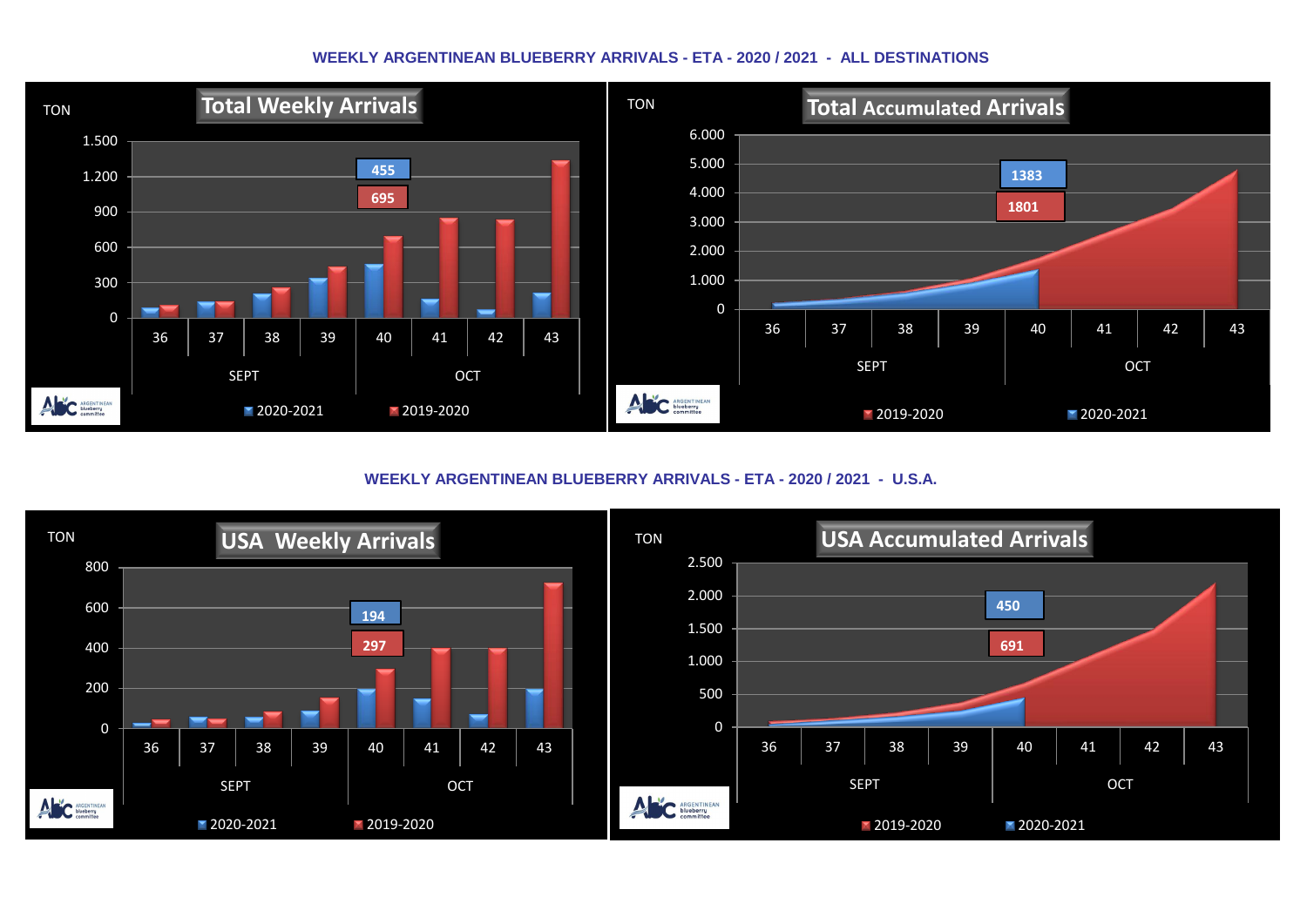#### **WEEKLY ARGENTINEAN BLUEBERRY ARRIVALS - ETA - 2020 / 2021 - ALL DESTINATIONS**



**WEEKLY ARGENTINEAN BLUEBERRY ARRIVALS - ETA - 2020 / 2021 - U.S.A.**

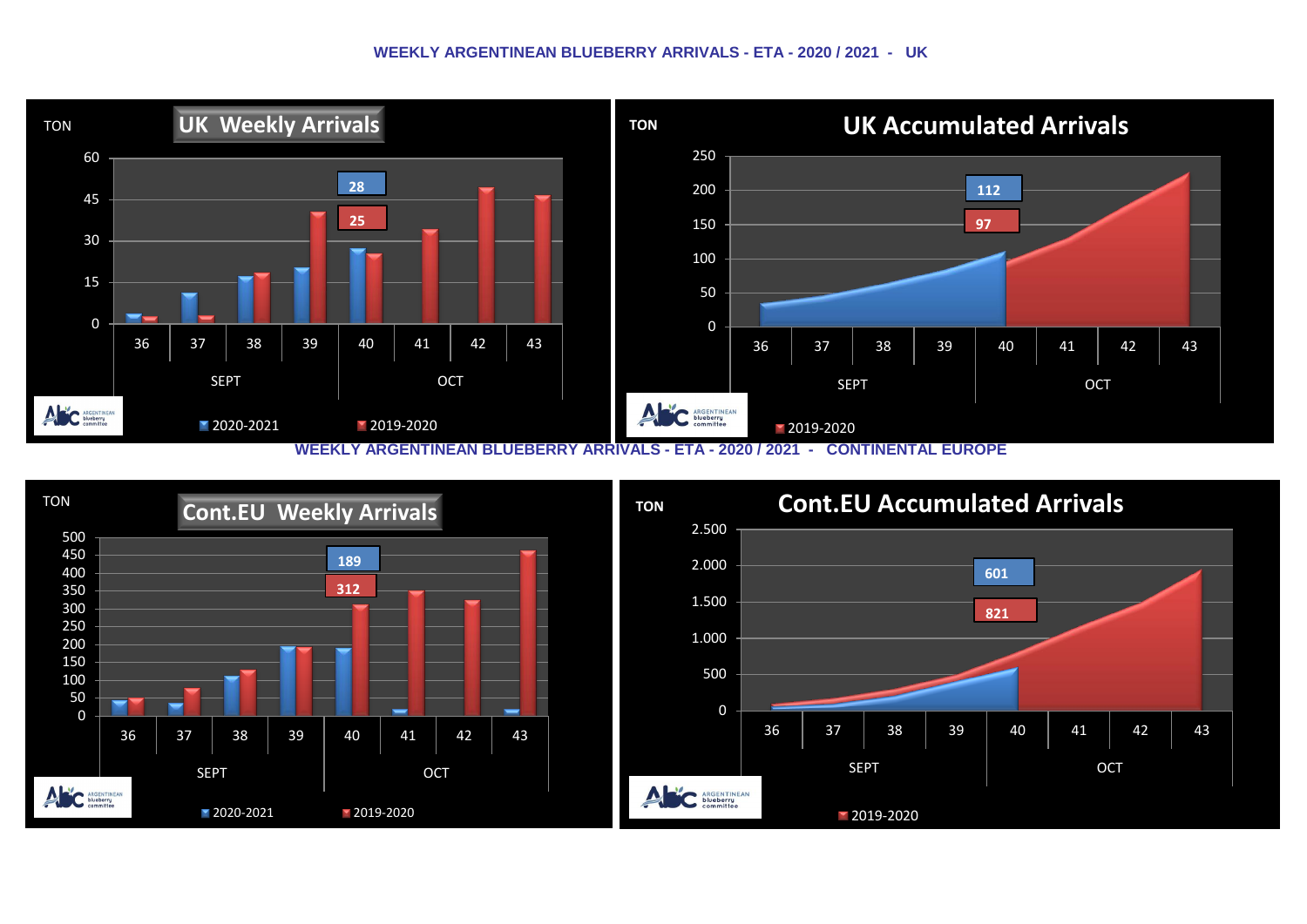#### **WEEKLY ARGENTINEAN BLUEBERRY ARRIVALS - ETA - 2020 / 2021 - UK**